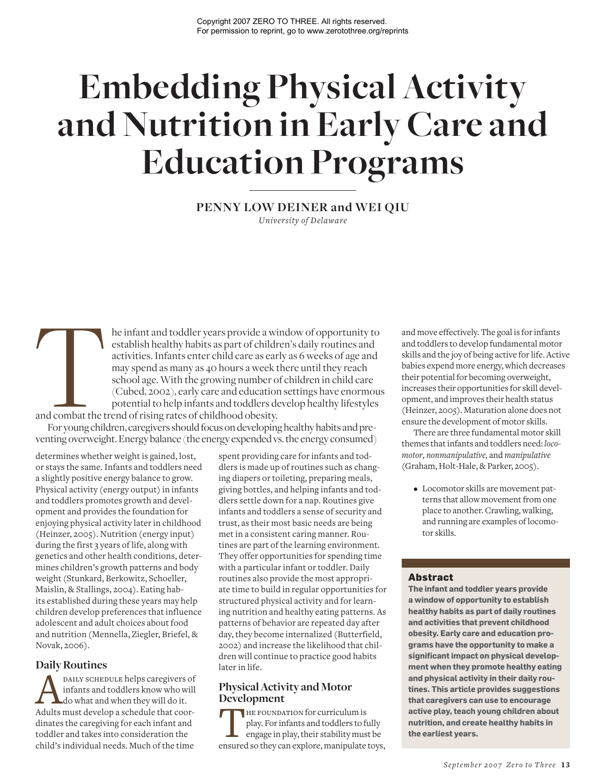# **Embedding Physical Activity and Nutrition in Early Care and Education Programs**

## **PENNY LOW DEINER and WEI QIU**

*University of Delaware*

he infant and toddler years provide a window of opportunity to establish healthy habits as part of children's daily routines and activities. Infants enter child care as early as 6 weeks of age and may spend as many as 40 hours a week there until they reach school age. With the growing number of children in child care (Cubed, 2002), early care and education settings have enormous potential to help infants and toddlers develop healthy lifestyles and combat the trend of rising rates of childhood obesity. and combat the transfer of the transfer of the transfer of the transfer of the transfer of the transfer of the transfer of the transfer of the transfer of the transfer of the transfer of the transfer of the transfer of the

For young children, caregivers should focus on developing healthy habits and preventing overweight. Energy balance (the energy expended vs. the energy consumed)

determines whether weight is gained, lost, or stays the same. Infants and toddlers need a slightly positive energy balance to grow. Physical activity (energy output) in infants and toddlers promotes growth and development and provides the foundation for enjoying physical activity later in childhood (Heinzer, 2005). Nutrition (energy input) during the first 3 years of life, along with genetics and other health conditions, determines children's growth patterns and body weight (Stunkard, Berkowitz, Schoeller, Maislin, & Stallings, 2004). Eating habits established during these years may help children develop preferences that influence adolescent and adult choices about food and nutrition (Mennella, Ziegler, Briefel, & Novak, 2006).

## **Daily Routines**

**AND DAILY SCHEDULE helps caregivers of** infants and toddlers know who will do it.<br>Adults must develop a schedule that coorinfants and toddlers know who will do what and when they will do it. dinates the caregiving for each infant and toddler and takes into consideration the child's individual needs. Much of the time

spent providing care for infants and toddlers is made up of routines such as changing diapers or toileting, preparing meals, giving bottles, and helping infants and toddlers settle down for a nap. Routines give infants and toddlers a sense of security and trust, as their most basic needs are being met in a consistent caring manner. Routines are part of the learning environment. They offer opportunities for spending time with a particular infant or toddler. Daily routines also provide the most appropriate time to build in regular opportunities for structured physical activity and for learning nutrition and healthy eating patterns. As patterns of behavior are repeated day after day, they become internalized (Butterfield, 2002) and increase the likelihood that children will continue to practice good habits later in life.

## **Physical Activity and Motor Development**

THE FOUNDATION for curriculum is<br>
play. For infants and toddlers to fully<br>
engage in play, their stability must be<br>
ensured so they can explore, manipulate toys, play. For infants and toddlers to fully engage in play, their stability must be

and move effectively. The goal is for infants and toddlers to develop fundamental motor skills and the joy of being active for life. Active babies expend more energy, which decreases their potential for becoming overweight, increases their opportunities for skill development, and improves their health status (Heinzer, 2005). Maturation alone does not ensure the development of motor skills.

There are three fundamental motor skill themes that infants and toddlers need: *locomotor, nonmanipulative,* and *manipulative* (Graham, Holt-Hale, & Parker, 2005).

• Locomotor skills are movement patterns that allow movement from one place to another. Crawling, walking, and running are examples of locomotor skills.

## **Abstract**

**The infant and toddler years provide a window of opportunity to establish healthy habits as part of daily routines and activities that prevent childhood obesity. Early care and education programs have the opportunity to make a significant impact on physical development when they promote healthy eating and physical activity in their daily routines. This article provides suggestions that caregivers can use to encourage active play, teach young children about nutrition, and create healthy habits in the earliest years.**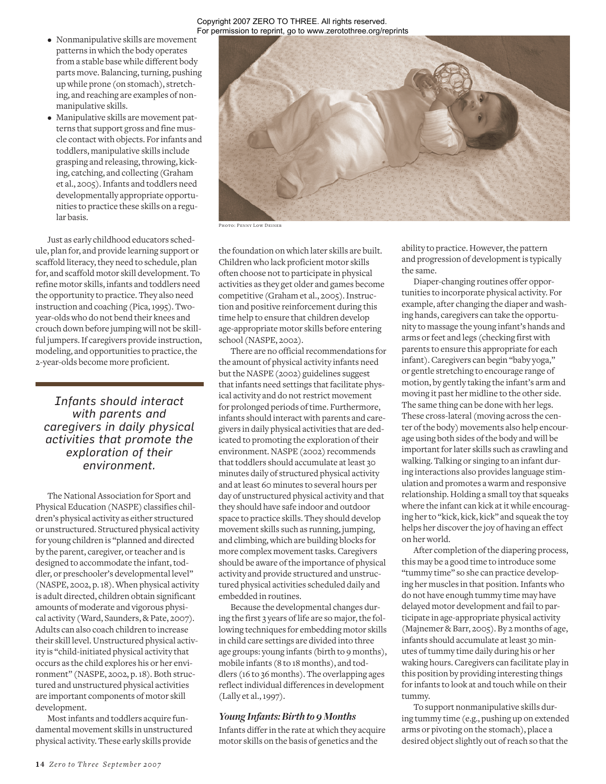#### Copyright 2007 ZERO TO THREE. All rights reserved. For permission to reprint, go to www.zerotothree.org/reprints

- Nonmanipulative skills are movement patterns in which the body operates from a stable base while different body parts move. Balancing, turning, pushing up while prone (on stomach), stretching, and reaching are examples of nonmanipulative skills.
- Manipulative skills are movement patterns that support gross and fine muscle contact with objects. For infants and toddlers, manipulative skills include grasping and releasing, throwing, kicking, catching, and collecting (Graham et al., 2005). Infants and toddlers need developmentally appropriate opportunities to practice these skills on a regular basis.

Just as early childhood educators schedule, plan for, and provide learning support or scaffold literacy, they need to schedule, plan for, and scaffold motor skill development. To refine motor skills, infants and toddlers need the opportunity to practice. They also need instruction and coaching (Pica, 1995). Twoyear-olds who do not bend their knees and crouch down before jumping will not be skillful jumpers. If caregivers provide instruction, modeling, and opportunities to practice, the 2-year-olds become more proficient.

*Infants should interact with parents and caregivers in daily physical activities that promote the exploration of their environment.* 

The National Association for Sport and Physical Education (NASPE) classifies children's physical activity as either structured or unstructured. Structured physical activity for young children is "planned and directed by the parent, caregiver, or teacher and is designed to accommodate the infant, toddler, or preschooler's developmental level" (NASPE, 2002, p. 18). When physical activity is adult directed, children obtain significant amounts of moderate and vigorous physical activity (Ward, Saunders, & Pate, 2007). Adults can also coach children to increase their skill level. Unstructured physical activity is "child-initiated physical activity that occurs as the child explores his or her environment" (NASPE, 2002, p. 18). Both structured and unstructured physical activities are important components of motor skill development.

Most infants and toddlers acquire fundamental movement skills in unstructured physical activity. These early skills provide



Photo: Penny Low Deiner

the foundation on which later skills are built. Children who lack proficient motor skills often choose not to participate in physical activities as they get older and games become competitive (Graham et al., 2005). Instruction and positive reinforcement during this time help to ensure that children develop age-appropriate motor skills before entering school (NASPE, 2002).

There are no official recommendations for the amount of physical activity infants need but the NASPE (2002) guidelines suggest that infants need settings that facilitate physical activity and do not restrict movement for prolonged periods of time. Furthermore, infants should interact with parents and caregivers in daily physical activities that are dedicated to promoting the exploration of their environment. NASPE (2002) recommends that toddlers should accumulate at least 30 minutes daily of structured physical activity and at least 60 minutes to several hours per day of unstructured physical activity and that they should have safe indoor and outdoor space to practice skills. They should develop movement skills such as running, jumping, and climbing, which are building blocks for more complex movement tasks. Caregivers should be aware of the importance of physical activity and provide structured and unstructured physical activities scheduled daily and embedded in routines.

Because the developmental changes during the first 3 years of life are so major, the following techniques for embedding motor skills in child care settings are divided into three age groups: young infants (birth to 9 months), mobile infants (8 to 18 months), and toddlers (16 to 36 months). The overlapping ages reflect individual differences in development (Lally et al., 1997).

## *Young Infants: Birth to 9 Months*

Infants differ in the rate at which they acquire motor skills on the basis of genetics and the

ability to practice. However, the pattern and progression of development is typically the same.

Diaper-changing routines offer opportunities to incorporate physical activity. For example, after changing the diaper and washing hands, caregivers can take the opportunity to massage the young infant's hands and arms or feet and legs (checking first with parents to ensure this appropriate for each infant). Caregivers can begin "baby yoga," or gentle stretching to encourage range of motion, by gently taking the infant's arm and moving it past her midline to the other side. The same thing can be done with her legs. These cross-lateral (moving across the center of the body) movements also help encourage using both sides of the body and will be important for later skills such as crawling and walking. Talking or singing to an infant during interactions also provides language stimulation and promotes a warm and responsive relationship. Holding a small toy that squeaks where the infant can kick at it while encouraging her to "kick, kick, kick" and squeak the toy helps her discover the joy of having an effect on her world.

After completion of the diapering process, this may be a good time to introduce some "tummy time" so she can practice developing her muscles in that position. Infants who do not have enough tummy time may have delayed motor development and fail to participate in age-appropriate physical activity (Majnemer & Barr, 2005). By 2 months of age, infants should accumulate at least 30 minutes of tummy time daily during his or her waking hours. Caregivers can facilitate play in this position by providing interesting things for infants to look at and touch while on their tummy.

To support nonmanipulative skills during tummy time (e.g., pushing up on extended arms or pivoting on the stomach), place a desired object slightly out of reach so that the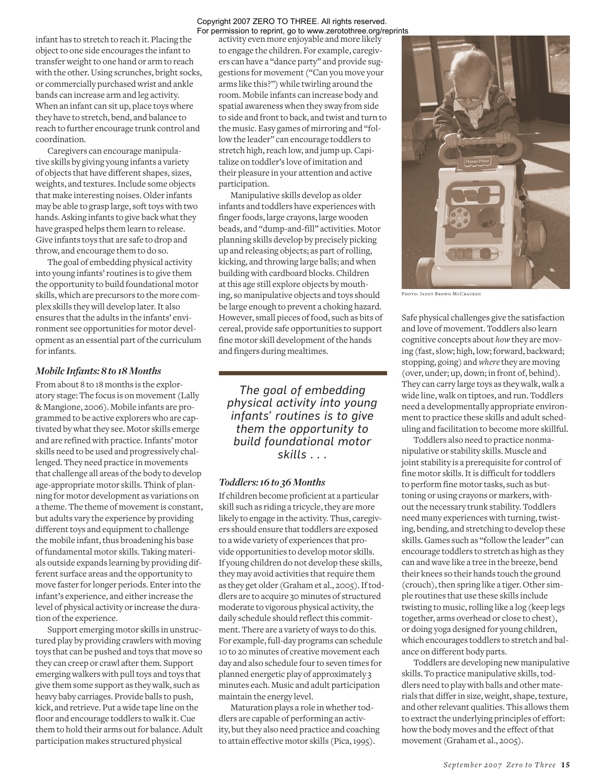infant has to stretch to reach it. Placing the object to one side encourages the infant to transfer weight to one hand or arm to reach with the other. Using scrunches, bright socks, or commercially purchased wrist and ankle bands can increase arm and leg activity. When an infant can sit up, place toys where they have to stretch, bend, and balance to reach to further encourage trunk control and coordination.

Caregivers can encourage manipulative skills by giving young infants a variety of objects that have different shapes, sizes, weights, and textures. Include some objects that make interesting noises. Older infants may be able to grasp large, soft toys with two hands. Asking infants to give back what they have grasped helps them learn to release. Give infants toys that are safe to drop and throw, and encourage them to do so.

The goal of embedding physical activity into young infants' routines is to give them the opportunity to build foundational motor skills, which are precursors to the more complex skills they will develop later. It also ensures that the adults in the infants' environment see opportunities for motor development as an essential part of the curriculum for infants.

#### *Mobile Infants: 8 to 18 Months*

From about 8 to 18 months is the exploratory stage: The focus is on movement (Lally & Mangione, 2006). Mobile infants are programmed to be active explorers who are captivated by what they see. Motor skills emerge and are refined with practice. Infants' motor skills need to be used and progressively challenged. They need practice in movements that challenge all areas of the body to develop age-appropriate motor skills. Think of planning for motor development as variations on a theme. The theme of movement is constant, but adults vary the experience by providing different toys and equipment to challenge the mobile infant, thus broadening his base of fundamental motor skills. Taking materials outside expands learning by providing different surface areas and the opportunity to move faster for longer periods. Enter into the infant's experience, and either increase the level of physical activity or increase the duration of the experience.

Support emerging motor skills in unstructured play by providing crawlers with moving toys that can be pushed and toys that move so they can creep or crawl after them. Support emerging walkers with pull toys and toys that give them some support as they walk, such as heavy baby carriages. Provide balls to push, kick, and retrieve. Put a wide tape line on the floor and encourage toddlers to walk it. Cue them to hold their arms out for balance. Adult participation makes structured physical

#### Copyright 2007 ZERO TO THREE. All rights reserved. For permission to reprint, go to www.zerotothree.org/reprints

activity even more enjoyable and more likely to engage the children. For example, caregivers can have a "dance party" and provide suggestions for movement ("Can you move your arms like this?") while twirling around the room. Mobile infants can increase body and spatial awareness when they sway from side to side and front to back, and twist and turn to the music. Easy games of mirroring and "follow the leader" can encourage toddlers to stretch high, reach low, and jump up. Capitalize on toddler's love of imitation and their pleasure in your attention and active participation.

Manipulative skills develop as older infants and toddlers have experiences with finger foods, large crayons, large wooden beads, and "dump-and-fill" activities. Motor planning skills develop by precisely picking up and releasing objects; as part of rolling, kicking, and throwing large balls; and when building with cardboard blocks. Children at this age still explore objects by mouthing, so manipulative objects and toys should be large enough to prevent a choking hazard. However, small pieces of food, such as bits of cereal, provide safe opportunities to support fine motor skill development of the hands and fingers during mealtimes.

*The goal of embedding physical activity into young infants' routines is to give them the opportunity to build foundational motor skills . . .*

#### *Toddlers: 16 to 36 Months*

If children become proficient at a particular skill such as riding a tricycle, they are more likely to engage in the activity. Thus, caregivers should ensure that toddlers are exposed to a wide variety of experiences that provide opportunities to develop motor skills. If young children do not develop these skills, they may avoid activities that require them as they get older (Graham et al., 2005). If toddlers are to acquire 30 minutes of structured moderate to vigorous physical activity, the daily schedule should reflect this commitment. There are a variety of ways to do this. For example, full-day programs can schedule 10 to 20 minutes of creative movement each day and also schedule four to seven times for planned energetic play of approximately 3 minutes each. Music and adult participation maintain the energy level.

Maturation plays a role in whether toddlers are capable of performing an activity, but they also need practice and coaching to attain effective motor skills (Pica, 1995).



Photo: Janet Brown McCracken

Safe physical challenges give the satisfaction and love of movement. Toddlers also learn cognitive concepts about *how* they are moving (fast, slow; high, low; forward, backward; stopping, going) and *where* they are moving (over, under; up, down; in front of, behind). They can carry large toys as they walk, walk a wide line, walk on tiptoes, and run. Toddlers need a developmentally appropriate environment to practice these skills and adult scheduling and facilitation to become more skillful.

Toddlers also need to practice nonmanipulative or stability skills. Muscle and joint stability is a prerequisite for control of fine motor skills. It is difficult for toddlers to perform fine motor tasks, such as buttoning or using crayons or markers, without the necessary trunk stability. Toddlers need many experiences with turning, twisting, bending, and stretching to develop these skills. Games such as "follow the leader" can encourage toddlers to stretch as high as they can and wave like a tree in the breeze, bend their knees so their hands touch the ground (crouch), then spring like a tiger. Other simple routines that use these skills include twisting to music, rolling like a log (keep legs together, arms overhead or close to chest), or doing yoga designed for young children, which encourages toddlers to stretch and balance on different body parts.

Toddlers are developing new manipulative skills. To practice manipulative skills, toddlers need to play with balls and other materials that differ in size, weight, shape, texture, and other relevant qualities. This allows them to extract the underlying principles of effort: how the body moves and the effect of that movement (Graham et al., 2005).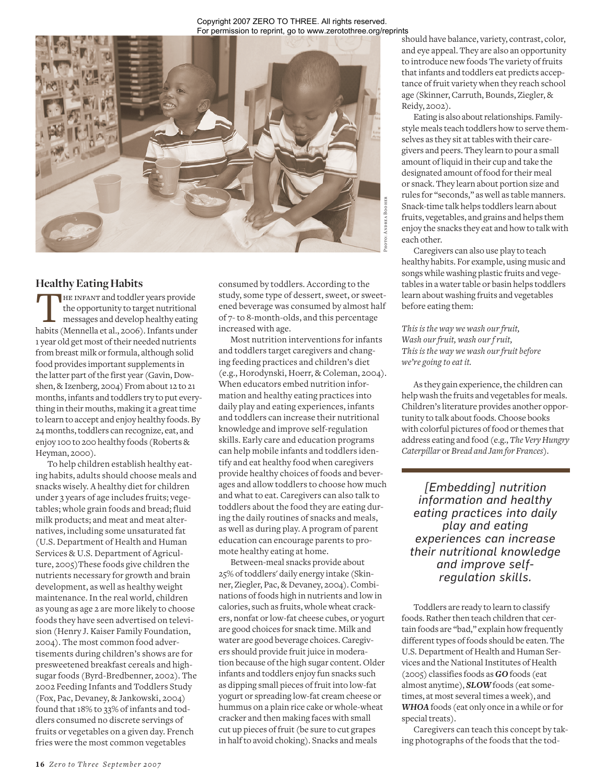#### Copyright 2007 ZERO TO THREE. All rights reserved. For permission to reprint, go to www.zerotothree.org/reprints



# **Healthy Eating Habits**

THE INFANT and toddler years provide<br>the opportunity to target nutritional<br>messages and develop healthy eating<br>habits (Mennella et al., 2006). Infants under the opportunity to target nutritional messages and develop healthy eating 1 year old get most of their needed nutrients from breast milk or formula, although solid food provides important supplements in the latter part of the first year (Gavin, Dowshen, & Izenberg, 2004) From about 12 to 21 months, infants and toddlers try to put everything in their mouths, making it a great time to learn to accept and enjoy healthy foods. By 24 months, toddlers can recognize, eat, and enjoy 100 to 200 healthy foods (Roberts & Heyman, 2000).

To help children establish healthy eating habits, adults should choose meals and snacks wisely. A healthy diet for children under 3 years of age includes fruits; vegetables; whole grain foods and bread; fluid milk products; and meat and meat alternatives, including some unsaturated fat (U.S. Department of Health and Human Services & U.S. Department of Agriculture, 2005)These foods give children the nutrients necessary for growth and brain development, as well as healthy weight maintenance. In the real world, children as young as age 2 are more likely to choose foods they have seen advertised on television (Henry J. Kaiser Family Foundation, 2004). The most common food advertisements during children's shows are for presweetened breakfast cereals and highsugar foods (Byrd-Bredbenner, 2002). The 2002 Feeding Infants and Toddlers Study (Fox, Pac, Devaney, & Jankowski, 2004) found that 18% to 33% of infants and toddlers consumed no discrete servings of fruits or vegetables on a given day. French fries were the most common vegetables

consumed by toddlers. According to the study, some type of dessert, sweet, or sweetened beverage was consumed by almost half of 7- to 8-month-olds, and this percentage increased with age.

Most nutrition interventions for infants and toddlers target caregivers and changing feeding practices and children's diet (e.g., Horodynski, Hoerr, & Coleman, 2004). When educators embed nutrition information and healthy eating practices into daily play and eating experiences, infants and toddlers can increase their nutritional knowledge and improve self-regulation skills. Early care and education programs can help mobile infants and toddlers identify and eat healthy food when caregivers provide healthy choices of foods and beverages and allow toddlers to choose how much and what to eat. Caregivers can also talk to toddlers about the food they are eating during the daily routines of snacks and meals, as well as during play. A program of parent education can encourage parents to promote healthy eating at home.

Between-meal snacks provide about 25% of toddlers' daily energy intake (Skinner, Ziegler, Pac, & Devaney, 2004). Combinations of foods high in nutrients and low in calories, such as fruits, whole wheat crackers, nonfat or low-fat cheese cubes, or yogurt are good choices for snack time. Milk and water are good beverage choices. Caregivers should provide fruit juice in moderation because of the high sugar content. Older infants and toddlers enjoy fun snacks such as dipping small pieces of fruit into low-fat yogurt or spreading low-fat cream cheese or hummus on a plain rice cake or whole-wheat cracker and then making faces with small cut up pieces of fruit (be sure to cut grapes in half to avoid choking). Snacks and meals

should have balance, variety, contrast, color, and eye appeal. They are also an opportunity to introduce new foods The variety of fruits that infants and toddlers eat predicts acceptance of fruit variety when they reach school age (Skinner, Carruth, Bounds, Ziegler, & Reidy, 2002).

Eating is also about relationships. Familystyle meals teach toddlers how to serve themselves as they sit at tables with their caregivers and peers. They learn to pour a small amount of liquid in their cup and take the designated amount of food for their meal or snack. They learn about portion size and rules for "seconds," as well as table manners. Snack-time talk helps toddlers learn about fruits, vegetables, and grains and helps them enjoy the snacks they eat and how to talk with each other.

Caregivers can also use play to teach healthy habits. For example, using music and songs while washing plastic fruits and vegetables in a water table or basin helps toddlers learn about washing fruits and vegetables before eating them:

*This is the way we wash our fruit, Wash our fruit, wash our f ruit, This is the way we wash our fruit before we're going to eat it.*

As they gain experience, the children can help wash the fruits and vegetables for meals. Children's literature provides another opportunity to talk about foods. Choose books with colorful pictures of food or themes that address eating and food (e.g., *The Very Hungry Caterpillar* or *Bread and Jam for Frances*).

*[Embedding] nutrition information and healthy eating practices into daily play and eating experiences can increase their nutritional knowledge and improve selfregulation skills.*

Toddlers are ready to learn to classify foods. Rather then teach children that certain foods are "bad," explain how frequently different types of foods should be eaten. The U.S. Department of Health and Human Services and the National Institutes of Health (2005) classifies foods as *GO* foods (eat almost anytime), *SLOW* foods (eat sometimes, at most several times a week), and *WHOA* foods (eat only once in a while or for special treats).

Caregivers can teach this concept by taking photographs of the foods that the tod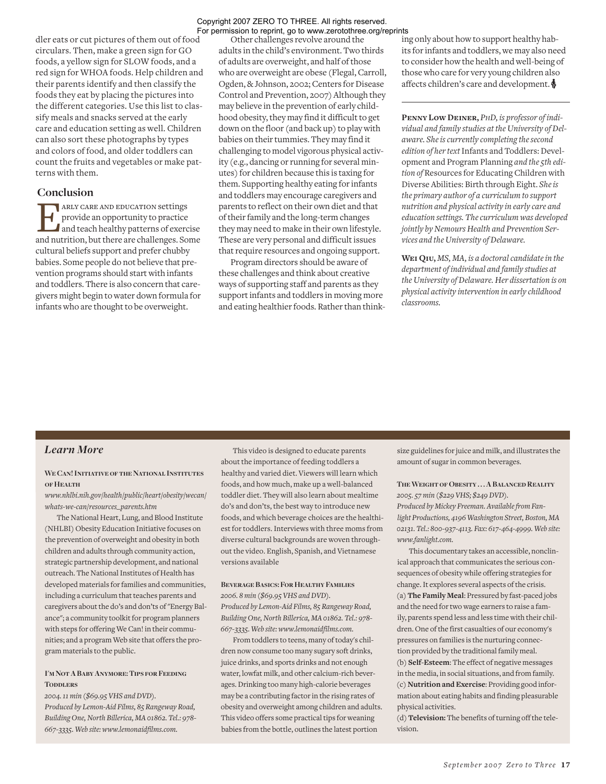dler eats or cut pictures of them out of food circulars. Then, make a green sign for GO foods, a yellow sign for SLOW foods, and a red sign for WHOA foods. Help children and their parents identify and then classify the foods they eat by placing the pictures into the different categories. Use this list to classify meals and snacks served at the early care and education setting as well. Children can also sort these photographs by types and colors of food, and older toddlers can count the fruits and vegetables or make patterns with them.

#### **Conclusion**

**EXECUTE ARLY CARE AND EDUCATION Settings**<br>provide an opportunity to practice<br>and nutrition, but there are challenges. So provide an opportunity to practice and teach healthy patterns of exercise and nutrition, but there are challenges. Some cultural beliefs support and prefer chubby babies. Some people do not believe that prevention programs should start with infants and toddlers. There is also concern that caregivers might begin to water down formula for infants who are thought to be overweight.

#### Copyright 2007 ZERO TO THREE. All rights reserved. For permission to reprint, go to www.zerotothree.org/reprints

Other challenges revolve around the adults in the child's environment. Two thirds of adults are overweight, and half of those who are overweight are obese (Flegal, Carroll, Ogden, & Johnson, 2002; Centers for Disease Control and Prevention, 2007) Although they may believe in the prevention of early childhood obesity, they may find it difficult to get down on the floor (and back up) to play with babies on their tummies. They may find it challenging to model vigorous physical activity (e.g., dancing or running for several minutes) for children because this is taxing for them. Supporting healthy eating for infants and toddlers may encourage caregivers and parents to reflect on their own diet and that of their family and the long-term changes they may need to make in their own lifestyle. These are very personal and difficult issues that require resources and ongoing support.

Program directors should be aware of these challenges and think about creative ways of supporting staff and parents as they support infants and toddlers in moving more and eating healthier foods. Rather than thinking only about how to support healthy habits for infants and toddlers, we may also need to consider how the health and well-being of those who care for very young children also affects children's care and development.  $\clubsuit$ 

**Penny Low Deiner,** *PHD, is professor of individual and family studies at the University of Delaware. She is currently completing the second edition of her text* Infants and Toddlers: Development and Program Planning *and the 5th edition of* Resources for Educating Children with Diverse Abilities: Birth through Eight. *She is the primary author of a curriculum to support nutrition and physical activity in early care and education settings. The curriculum was developed jointly by Nemours Health and Prevention Services and the University of Delaware.*

**Wei Qiu,** *MS, MA, is a doctoral candidate in the department of individual and family studies at the University of Delaware. Her dissertation is on physical activity intervention in early childhood classrooms.* 

### *Learn More*

#### **We Can! Initiative of the National Institutes of Health**

*www.nhlbi.nih.gov/health/public/heart/obesity/wecan/ whats-we-can/resources\_parents.htm*

The National Heart, Lung, and Blood Institute (NHLBI) Obesity Education Initiative focuses on the prevention of overweight and obesity in both children and adults through community action, strategic partnership development, and national outreach. The National Institutes of Health has developed materials for families and communities, including a curriculum that teaches parents and caregivers about the do's and don'ts of "Energy Balance"; a community toolkit for program planners with steps for offering We Can! in their communities; and a program Web site that offers the program materials to the public.

#### **I'm Not A Baby Anymore: Tips for Feeding TODDLERS**

*2004. 11 min (\$69.95 VHS and DVD). Produced by Lemon-Aid Films, 85 Rangeway Road, Building One, North Billerica, MA 01862. Tel.: 978- 667-3335. Web site: www.lemonaidfilms.com.* 

This video is designed to educate parents about the importance of feeding toddlers a healthy and varied diet. Viewers will learn which foods, and how much, make up a well-balanced toddler diet. They will also learn about mealtime do's and don'ts, the best way to introduce new foods, and which beverage choices are the healthiest for toddlers. Interviews with three moms from diverse cultural backgrounds are woven throughout the video. English, Spanish, and Vietnamese versions available

#### **Beverage Basics: For Healthy Families**

*2006. 8 min (\$69.95 VHS and DVD). Produced by Lemon-Aid Films, 85 Rangeway Road, Building One, North Billerica, MA 01862. Tel.: 978- 667-3335. Web site: www.lemonaidfilms.com.* 

From toddlers to teens, many of today's children now consume too many sugary soft drinks, juice drinks, and sports drinks and not enough water, lowfat milk, and other calcium-rich beverages. Drinking too many high-calorie beverages may be a contributing factor in the rising rates of obesity and overweight among children and adults. This video offers some practical tips for weaning babies from the bottle, outlines the latest portion

size guidelines for juice and milk, and illustrates the amount of sugar in common beverages.

**The Weight of Obesity . . . A Balanced Reality** *2005. 57 min (\$229 VHS; \$249 DVD). Produced by Mickey Freeman. Available from Fanlight Productions, 4196 Washington Street, Boston, MA 02131. Tel.: 800-937-4113. Fax: 617-464-4999. Web site: www.fanlight.com.* 

This documentary takes an accessible, nonclinical approach that communicates the serious consequences of obesity while offering strategies for change. It explores several aspects of the crisis. (a) **The Family Meal**: Pressured by fast-paced jobs and the need for two wage earners to raise a family, parents spend less and less time with their children. One of the first casualties of our economy's pressures on families is the nurturing connection provided by the traditional family meal. (b) **Self-Esteem**: The effect of negative messages in the media, in social situations, and from family. (c) **Nutrition and Exercise**: Providing good information about eating habits and finding pleasurable physical activities.

(d) **Television:** The benefits of turning off the television.